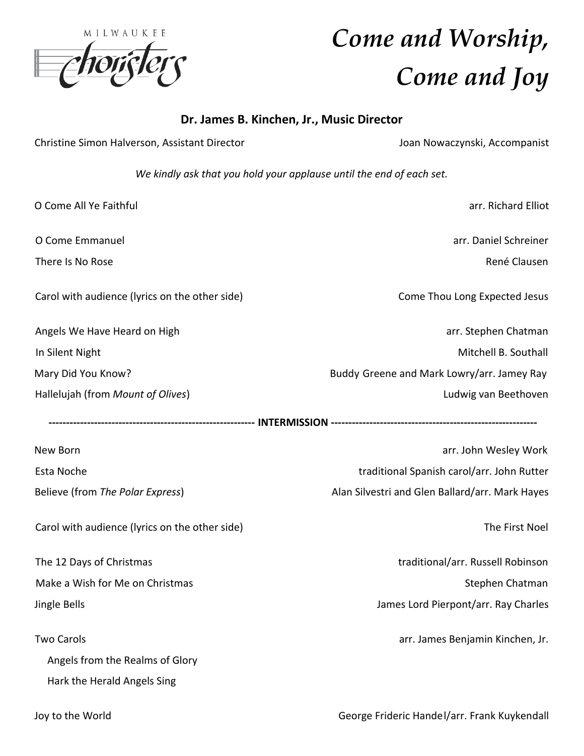|                 | MILWAUKEE |  |
|-----------------|-----------|--|
|                 |           |  |
| <b>MONTELOR</b> |           |  |
|                 |           |  |

# *Come and Worship, Come and Joy*

## **Dr. James B. Kinchen, Jr., Music Director**

| Christine Simon Halverson, Assistant Director                        | Joan Nowaczynski, Accompanist                   |  |  |  |  |
|----------------------------------------------------------------------|-------------------------------------------------|--|--|--|--|
| We kindly ask that you hold your applause until the end of each set. |                                                 |  |  |  |  |
| O Come All Ye Faithful                                               | arr. Richard Elliot                             |  |  |  |  |
| O Come Emmanuel                                                      | arr. Daniel Schreiner                           |  |  |  |  |
| There Is No Rose                                                     | René Clausen                                    |  |  |  |  |
| Carol with audience (lyrics on the other side)                       | Come Thou Long Expected Jesus                   |  |  |  |  |
| Angels We Have Heard on High                                         | arr. Stephen Chatman                            |  |  |  |  |
| In Silent Night                                                      | Mitchell B. Southall                            |  |  |  |  |
| Mary Did You Know?                                                   | Buddy Greene and Mark Lowry/arr. Jamey Ray      |  |  |  |  |
| Hallelujah (from Mount of Olives)                                    | Ludwig van Beethoven                            |  |  |  |  |
|                                                                      |                                                 |  |  |  |  |
| New Born                                                             | arr. John Wesley Work                           |  |  |  |  |
| Esta Noche                                                           | traditional Spanish carol/arr. John Rutter      |  |  |  |  |
| Believe (from The Polar Express)                                     | Alan Silvestri and Glen Ballard/arr. Mark Hayes |  |  |  |  |
| Carol with audience (lyrics on the other side)                       | The First Noel                                  |  |  |  |  |
| The 12 Days of Christmas                                             | traditional/arr. Russell Robinson               |  |  |  |  |
| Make a Wish for Me on Christmas                                      | Stephen Chatman                                 |  |  |  |  |
| Jingle Bells                                                         | James Lord Pierpont/arr. Ray Charles            |  |  |  |  |
| <b>Two Carols</b>                                                    | arr. James Benjamin Kinchen, Jr.                |  |  |  |  |
| Angels from the Realms of Glory                                      |                                                 |  |  |  |  |
| Hark the Herald Angels Sing                                          |                                                 |  |  |  |  |